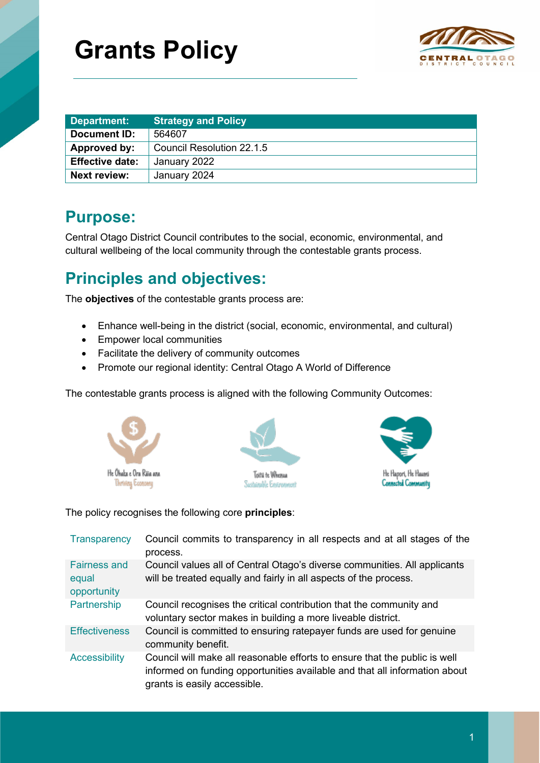# **Grants Policy**



| Department:            | <b>Strategy and Policy</b> |
|------------------------|----------------------------|
| Document ID:           | 564607                     |
| Approved by:           | Council Resolution 22.1.5  |
| <b>Effective date:</b> | January 2022               |
| <b>Next review:</b>    | January 2024               |

### **Purpose:**

Central Otago District Council contributes to the social, economic, environmental, and cultural wellbeing of the local community through the contestable grants process.

## **Principles and objectives:**

The **objectives** of the contestable grants process are:

- Enhance well-being in the district (social, economic, environmental, and cultural)
- Empower local communities
- Facilitate the delivery of community outcomes
- Promote our regional identity: Central Otago A World of Difference

The contestable grants process is aligned with the following Community Outcomes:







The policy recognises the following core **principles**:

| <b>Transparency</b>                         | Council commits to transparency in all respects and at all stages of the<br>process.                                                                                                     |
|---------------------------------------------|------------------------------------------------------------------------------------------------------------------------------------------------------------------------------------------|
| <b>Fairness and</b><br>equal<br>opportunity | Council values all of Central Otago's diverse communities. All applicants<br>will be treated equally and fairly in all aspects of the process.                                           |
| Partnership                                 | Council recognises the critical contribution that the community and<br>voluntary sector makes in building a more liveable district.                                                      |
| <b>Effectiveness</b>                        | Council is committed to ensuring ratepayer funds are used for genuine<br>community benefit.                                                                                              |
| <b>Accessibility</b>                        | Council will make all reasonable efforts to ensure that the public is well<br>informed on funding opportunities available and that all information about<br>grants is easily accessible. |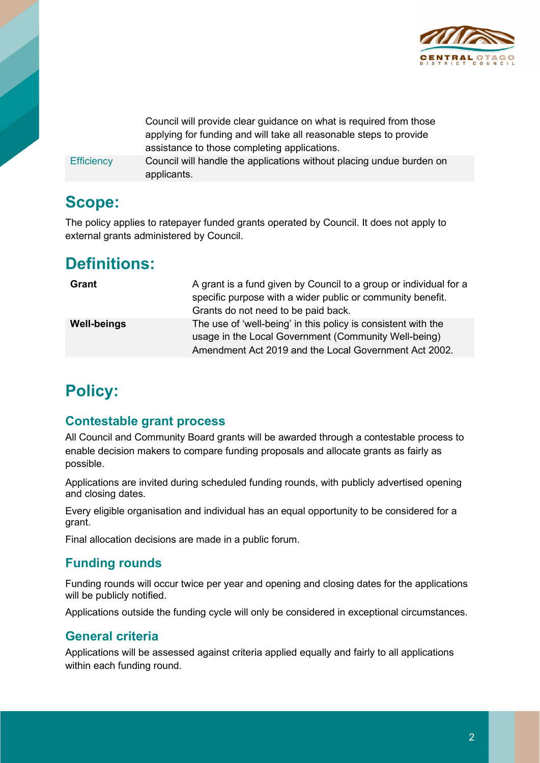

Council will provide clear guidance on what is required from those applying for funding and will take all reasonable steps to provide assistance to those completing applications. Efficiency Council will handle the applications without placing undue burden on

**Scope:**

The policy applies to ratepayer funded grants operated by Council. It does not apply to external grants administered by Council.

### **Definitions:**

| Grant              | A grant is a fund given by Council to a group or individual for a<br>specific purpose with a wider public or community benefit.<br>Grants do not need to be paid back.         |
|--------------------|--------------------------------------------------------------------------------------------------------------------------------------------------------------------------------|
| <b>Well-beings</b> | The use of 'well-being' in this policy is consistent with the<br>usage in the Local Government (Community Well-being)<br>Amendment Act 2019 and the Local Government Act 2002. |

# **Policy:**

#### **Contestable grant process**

applicants.

All Council and Community Board grants will be awarded through a contestable process to enable decision makers to compare funding proposals and allocate grants as fairly as possible.

Applications are invited during scheduled funding rounds, with publicly advertised opening and closing dates.

Every eligible organisation and individual has an equal opportunity to be considered for a grant.

Final allocation decisions are made in a public forum.

#### **Funding rounds**

Funding rounds will occur twice per year and opening and closing dates for the applications will be publicly notified.

Applications outside the funding cycle will only be considered in exceptional circumstances.

#### **General criteria**

Applications will be assessed against criteria applied equally and fairly to all applications within each funding round.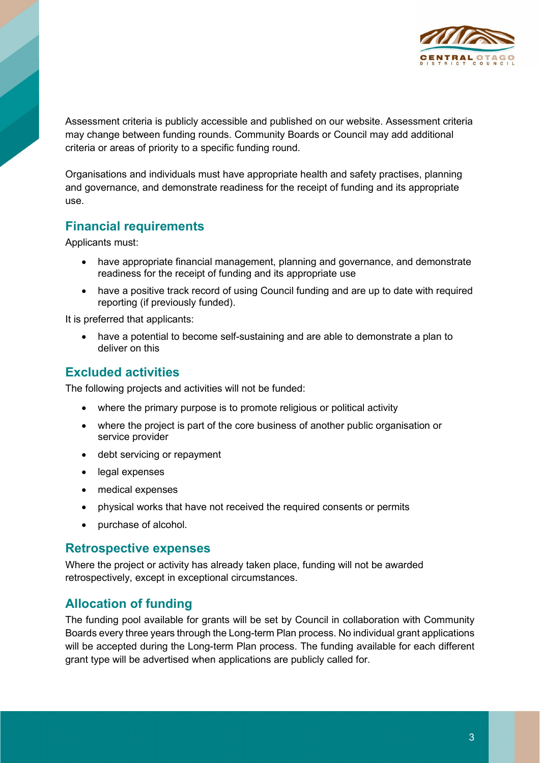

Assessment criteria is publicly accessible and published on our website. Assessment criteria may change between funding rounds. Community Boards or Council may add additional criteria or areas of priority to a specific funding round.

Organisations and individuals must have appropriate health and safety practises, planning and governance, and demonstrate readiness for the receipt of funding and its appropriate use.

#### **Financial requirements**

Applicants must:

- have appropriate financial management, planning and governance, and demonstrate readiness for the receipt of funding and its appropriate use
- have a positive track record of using Council funding and are up to date with required reporting (if previously funded).

It is preferred that applicants:

• have a potential to become self-sustaining and are able to demonstrate a plan to deliver on this

#### **Excluded activities**

The following projects and activities will not be funded:

- where the primary purpose is to promote religious or political activity
- where the project is part of the core business of another public organisation or service provider
- debt servicing or repayment
- legal expenses
- medical expenses
- physical works that have not received the required consents or permits
- purchase of alcohol.

#### **Retrospective expenses**

Where the project or activity has already taken place, funding will not be awarded retrospectively, except in exceptional circumstances.

#### **Allocation of funding**

The funding pool available for grants will be set by Council in collaboration with Community Boards every three years through the Long-term Plan process. No individual grant applications will be accepted during the Long-term Plan process. The funding available for each different grant type will be advertised when applications are publicly called for.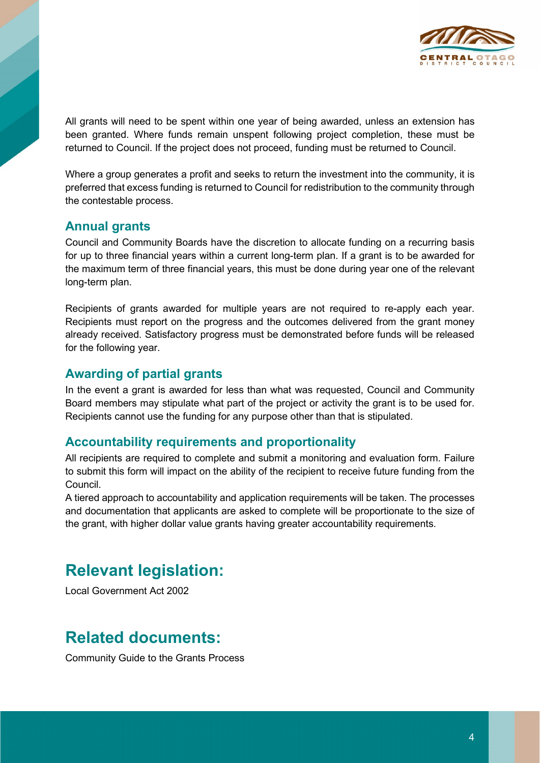

All grants will need to be spent within one year of being awarded, unless an extension has been granted. Where funds remain unspent following project completion, these must be returned to Council. If the project does not proceed, funding must be returned to Council.

Where a group generates a profit and seeks to return the investment into the community, it is preferred that excess funding is returned to Council for redistribution to the community through the contestable process.

#### **Annual grants**

Council and Community Boards have the discretion to allocate funding on a recurring basis for up to three financial years within a current long-term plan. If a grant is to be awarded for the maximum term of three financial years, this must be done during year one of the relevant long-term plan.

Recipients of grants awarded for multiple years are not required to re-apply each year. Recipients must report on the progress and the outcomes delivered from the grant money already received. Satisfactory progress must be demonstrated before funds will be released for the following year.

#### **Awarding of partial grants**

In the event a grant is awarded for less than what was requested, Council and Community Board members may stipulate what part of the project or activity the grant is to be used for. Recipients cannot use the funding for any purpose other than that is stipulated.

#### **Accountability requirements and proportionality**

All recipients are required to complete and submit a monitoring and evaluation form. Failure to submit this form will impact on the ability of the recipient to receive future funding from the Council.

A tiered approach to accountability and application requirements will be taken. The processes and documentation that applicants are asked to complete will be proportionate to the size of the grant, with higher dollar value grants having greater accountability requirements.

### **Relevant legislation:**

Local Government Act 2002

### **Related documents:**

Community Guide to the Grants Process